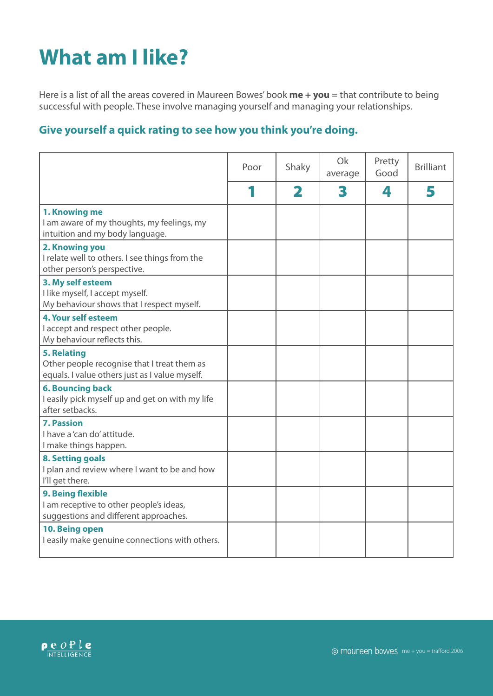## **What am I like?**

Here is a list of all the areas covered in Maureen Bowes' book **me + you** = that contribute to being successful with people. These involve managing yourself and managing your relationships.

## **Give yourself a quick rating to see how you think you're doing.**

|                                                                                                                     | Poor | Shaky       | Ok<br>average | Pretty<br>Good | <b>Brilliant</b> |
|---------------------------------------------------------------------------------------------------------------------|------|-------------|---------------|----------------|------------------|
|                                                                                                                     |      | $\mathbf 2$ | 3             | 4              | 5                |
| 1. Knowing me<br>I am aware of my thoughts, my feelings, my<br>intuition and my body language.                      |      |             |               |                |                  |
| 2. Knowing you<br>I relate well to others. I see things from the<br>other person's perspective.                     |      |             |               |                |                  |
| 3. My self esteem<br>I like myself, I accept myself.<br>My behaviour shows that I respect myself.                   |      |             |               |                |                  |
| 4. Your self esteem<br>I accept and respect other people.<br>My behaviour reflects this.                            |      |             |               |                |                  |
| <b>5. Relating</b><br>Other people recognise that I treat them as<br>equals. I value others just as I value myself. |      |             |               |                |                  |
| <b>6. Bouncing back</b><br>I easily pick myself up and get on with my life<br>after setbacks.                       |      |             |               |                |                  |
| <b>7. Passion</b><br>I have a 'can do' attitude.<br>I make things happen.                                           |      |             |               |                |                  |
| <b>8. Setting goals</b><br>I plan and review where I want to be and how<br>I'll get there.                          |      |             |               |                |                  |
| 9. Being flexible<br>I am receptive to other people's ideas,<br>suggestions and different approaches.               |      |             |               |                |                  |
| 10. Being open<br>I easily make genuine connections with others.                                                    |      |             |               |                |                  |